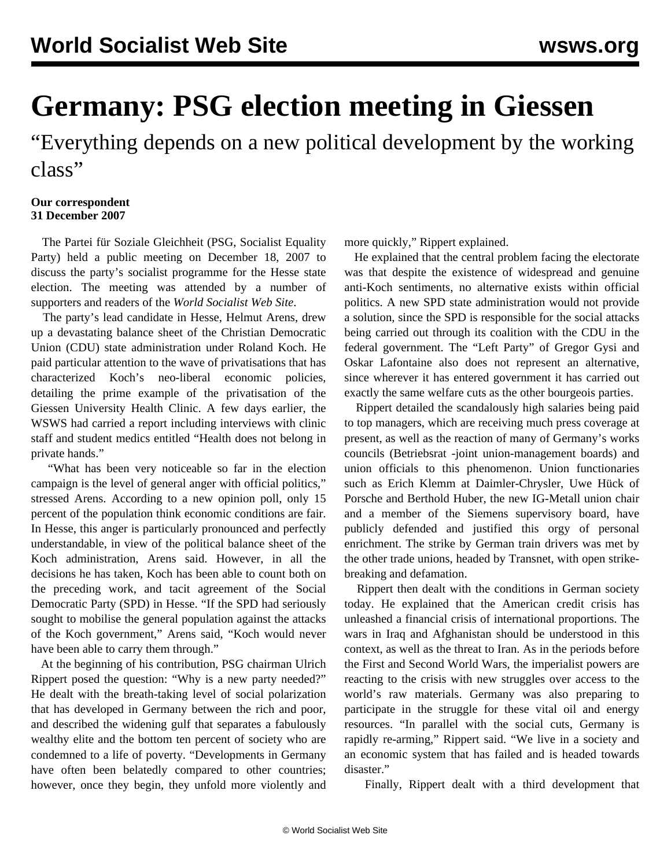## **Germany: PSG election meeting in Giessen**

"Everything depends on a new political development by the working class"

## **Our correspondent 31 December 2007**

 The Partei für Soziale Gleichheit (PSG, Socialist Equality Party) held a public meeting on December 18, 2007 to discuss the party's socialist programme for the Hesse state election. The meeting was attended by a number of supporters and readers of the *World Socialist Web Site*.

 The party's lead candidate in Hesse, Helmut Arens, drew up a devastating balance sheet of the Christian Democratic Union (CDU) state administration under Roland Koch. He paid particular attention to the wave of privatisations that has characterized Koch's neo-liberal economic policies, detailing the prime example of the privatisation of the Giessen University Health Clinic. A few days earlier, the WSWS had carried a report including interviews with clinic staff and student medics entitled "Health does not belong in private hands."

 "What has been very noticeable so far in the election campaign is the level of general anger with official politics," stressed Arens. According to a new opinion poll, only 15 percent of the population think economic conditions are fair. In Hesse, this anger is particularly pronounced and perfectly understandable, in view of the political balance sheet of the Koch administration, Arens said. However, in all the decisions he has taken, Koch has been able to count both on the preceding work, and tacit agreement of the Social Democratic Party (SPD) in Hesse. "If the SPD had seriously sought to mobilise the general population against the attacks of the Koch government," Arens said, "Koch would never have been able to carry them through."

 At the beginning of his contribution, PSG chairman Ulrich Rippert posed the question: "Why is a new party needed?" He dealt with the breath-taking level of social polarization that has developed in Germany between the rich and poor, and described the widening gulf that separates a fabulously wealthy elite and the bottom ten percent of society who are condemned to a life of poverty. "Developments in Germany have often been belatedly compared to other countries; however, once they begin, they unfold more violently and more quickly," Rippert explained.

 He explained that the central problem facing the electorate was that despite the existence of widespread and genuine anti-Koch sentiments, no alternative exists within official politics. A new SPD state administration would not provide a solution, since the SPD is responsible for the social attacks being carried out through its coalition with the CDU in the federal government. The "Left Party" of Gregor Gysi and Oskar Lafontaine also does not represent an alternative, since wherever it has entered government it has carried out exactly the same welfare cuts as the other bourgeois parties.

 Rippert detailed the scandalously high salaries being paid to top managers, which are receiving much press coverage at present, as well as the reaction of many of Germany's works councils (Betriebsrat -joint union-management boards) and union officials to this phenomenon. Union functionaries such as Erich Klemm at Daimler-Chrysler, Uwe Hück of Porsche and Berthold Huber, the new IG-Metall union chair and a member of the Siemens supervisory board, have publicly defended and justified this orgy of personal enrichment. The strike by German train drivers was met by the other trade unions, headed by Transnet, with open strikebreaking and defamation.

 Rippert then dealt with the conditions in German society today. He explained that the American credit crisis has unleashed a financial crisis of international proportions. The wars in Iraq and Afghanistan should be understood in this context, as well as the threat to Iran. As in the periods before the First and Second World Wars, the imperialist powers are reacting to the crisis with new struggles over access to the world's raw materials. Germany was also preparing to participate in the struggle for these vital oil and energy resources. "In parallel with the social cuts, Germany is rapidly re-arming," Rippert said. "We live in a society and an economic system that has failed and is headed towards disaster."

Finally, Rippert dealt with a third development that